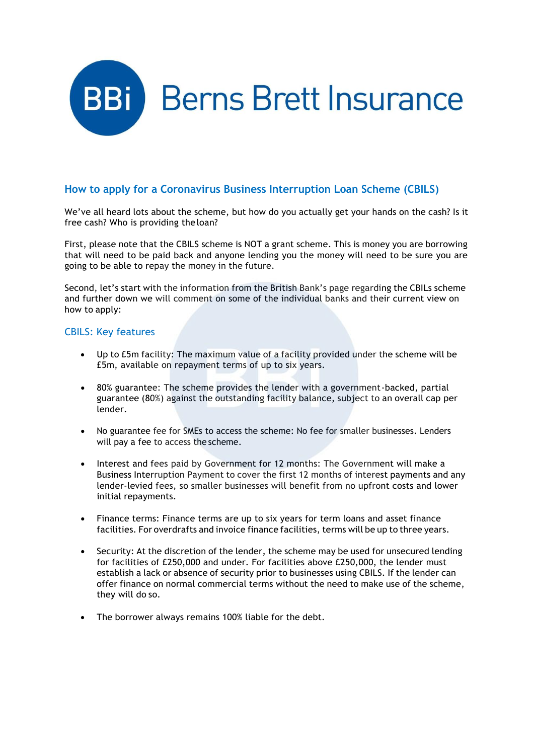

# **How to apply for a Coronavirus Business Interruption Loan Scheme (CBILS)**

We've all heard lots about the scheme, but how do you actually get your hands on the cash? Is it free cash? Who is providing the loan?

First, please note that the CBILS scheme is NOT a grant scheme. This is money you are borrowing that will need to be paid back and anyone lending you the money will need to be sure you are going to be able to repay the money in the future.

Second, let's start with the information from the British Bank's page regarding the CBILs scheme and further down we will comment on some of the individual banks and their current view on how to apply:

# CBILS: Key features

- Up to £5m facility: The maximum value of a facility provided under the scheme will be £5m, available on repayment terms of up to six years.
- 80% guarantee: The scheme provides the lender with a government-backed, partial guarantee (80%) against the outstanding facility balance, subject to an overall cap per lender.
- No guarantee fee for SMEs to access the scheme: No fee for smaller businesses. Lenders will pay a fee to access the scheme.
- Interest and fees paid by Government for 12 months: The Government will make a Business Interruption Payment to cover the first 12 months of interest payments and any lender-levied fees, so smaller businesses will benefit from no upfront costs and lower initial repayments.
- Finance terms: Finance terms are up to six years for term loans and asset finance facilities. For overdrafts and invoice finance facilities, terms will be up to three years.
- Security: At the discretion of the lender, the scheme may be used for unsecured lending for facilities of £250,000 and under. For facilities above £250,000, the lender must establish a lack or absence of security prior to businesses using CBILS. If the lender can offer finance on normal commercial terms without the need to make use of the scheme, they will do so.
- The borrower always remains 100% liable for the debt.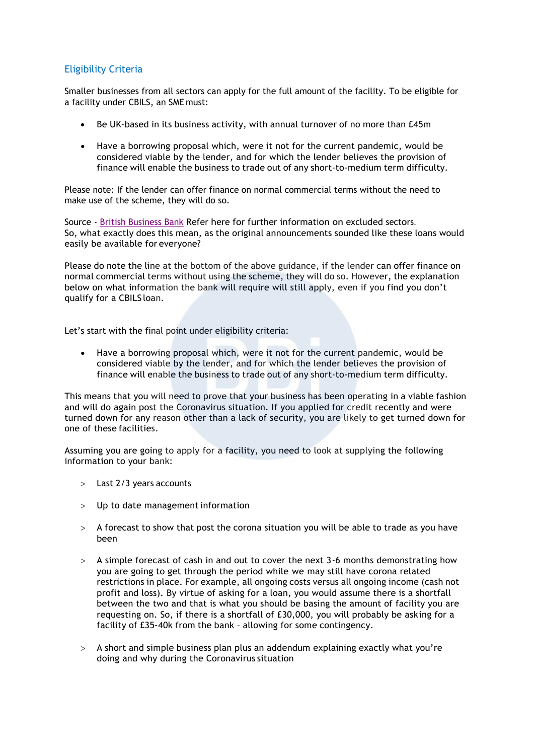# Eligibility Criteria

Smaller businesses from all sectors can apply for the full amount of the facility. To be eligible for a facility under CBILS, an SME must:

- Be UK-based in its business activity, with annual turnover of no more than £45m
- Have a borrowing proposal which, were it not for the current pandemic, would be considered viable by the lender, and for which the lender believes the provision of finance will enable the business to trade out of any short-to-medium term difficulty.

Please note: If the lender can offer finance on normal commercial terms without the need to make use of the scheme, they will do so.

Source - [British Business Bank](https://www.british-business-bank.co.uk/ourpartners/coronavirus-business-interruption-loan-scheme-cbils/) Refer here for further information on excluded sectors. So, what exactly does this mean, as the original announcements sounded like these loans would easily be available for everyone?

Please do note the line at the bottom of the above guidance, if the lender can offer finance on normal commercial terms without using the scheme, they will do so. However, the explanation below on what information the bank will require will still apply, even if you find you don't qualify for a CBILS loan.

Let's start with the final point under eligibility criteria:

 Have a borrowing proposal which, were it not for the current pandemic, would be considered viable by the lender, and for which the lender believes the provision of finance will enable the business to trade out of any short-to-medium term difficulty.

This means that you will need to prove that your business has been operating in a viable fashion and will do again post the Coronavirus situation. If you applied for credit recently and were turned down for any reason other than a lack of security, you are likely to get turned down for one of these facilities.

Assuming you are going to apply for a facility, you need to look at supplying the following information to your bank:

- Last 2/3 years accounts
- $>$  Up to date management information
- $>$  A forecast to show that post the corona situation you will be able to trade as you have been
- $>$  A simple forecast of cash in and out to cover the next 3-6 months demonstrating how you are going to get through the period while we may still have corona related restrictions in place. For example, all ongoing costs versus all ongoing income (cash not profit and loss). By virtue of asking for a loan, you would assume there is a shortfall between the two and that is what you should be basing the amount of facility you are requesting on. So, if there is a shortfall of £30,000, you will probably be asking for a facility of £35-40k from the bank – allowing for some contingency.
- A short and simple business plan plus an addendum explaining exactly what you're doing and why during the Coronavirus situation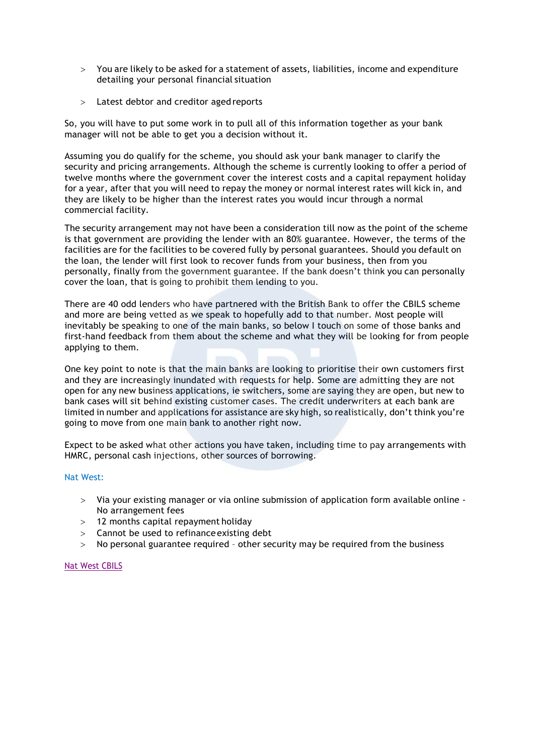- $>$  You are likely to be asked for a statement of assets, liabilities, income and expenditure detailing your personal financial situation
- Latest debtor and creditor aged reports

So, you will have to put some work in to pull all of this information together as your bank manager will not be able to get you a decision without it.

Assuming you do qualify for the scheme, you should ask your bank manager to clarify the security and pricing arrangements. Although the scheme is currently looking to offer a period of twelve months where the government cover the interest costs and a capital repayment holiday for a year, after that you will need to repay the money or normal interest rates will kick in, and they are likely to be higher than the interest rates you would incur through a normal commercial facility.

The security arrangement may not have been a consideration till now as the point of the scheme is that government are providing the lender with an 80% guarantee. However, the terms of the facilities are for the facilities to be covered fully by personal guarantees. Should you default on the loan, the lender will first look to recover funds from your business, then from you personally, finally from the government guarantee. If the bank doesn't think you can personally cover the loan, that is going to prohibit them lending to you.

There are 40 odd lenders who have partnered with the British Bank to offer the CBILS scheme and more are being vetted as we speak to hopefully add to that number. Most people will inevitably be speaking to one of the main banks, so below I touch on some of those banks and first-hand feedback from them about the scheme and what they will be looking for from people applying to them.

One key point to note is that the main banks are looking to prioritise their own customers first and they are increasingly inundated with requests for help. Some are admitting they are not open for any new business applications, ie switchers, some are saying they are open, but new to bank cases will sit behind existing customer cases. The credit underwriters at each bank are limited in number and applications for assistance are sky high, so realistically, don't think you're going to move from one main bank to another right now.

Expect to be asked what other actions you have taken, including time to pay arrangements with HMRC, personal cash injections, other sources of borrowing.

#### Nat West:

- Via your existing manager or via online submission of application form available online No arrangement fees
- 12 months capital repayment holiday
- Cannot be used to refinanceexisting debt
- No personal guarantee required other security may be required from the business

#### [Nat West CBILS](https://www.business.natwest.com/business/support-centre/service-status/coronavirus/government-scheme.html)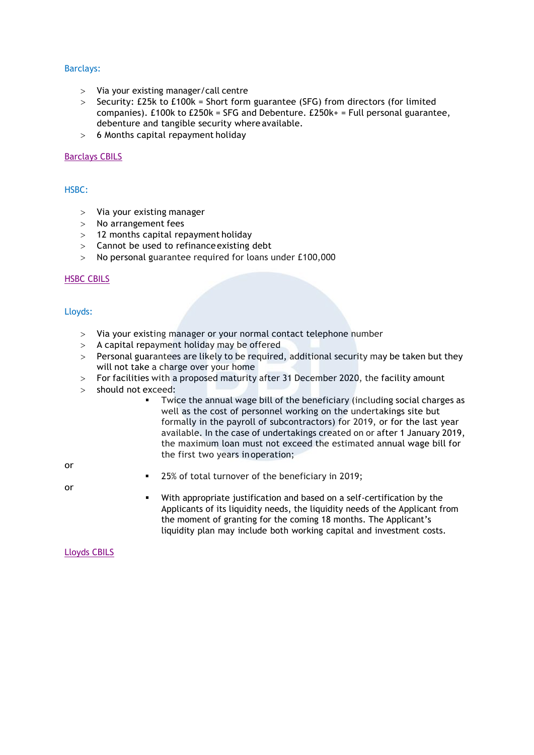## Barclays:

- Via your existing manager/call centre
- $>$  Security: £25k to £100k = Short form guarantee (SFG) from directors (for limited companies). £100k to £250k = SFG and Debenture. £250k+ = Full personal guarantee, debenture and tangible security where available.
- 6 Months capital repayment holiday

#### [Barclays CBILS](https://www.barclayscorporate.com/solutions/corporate-banking-solutions/financing/corporate-lending/coronavirus-business-interruption-loan/)

## HSBC:

- $>$  Via your existing manager
- No arrangement fees
- 12 months capital repayment holiday
- Cannot be used to refinanceexisting debt
- No personal guarantee required for loans under £100,000

### [HSBC CBILS](https://www.business.hsbc.uk/en-gb/finance-and-borrowing/credit-and-lending/coronavirus-business-interruption-loan-scheme)

Lloyds:

- Via your existing manager or your normal contact telephone number
- $>$  A capital repayment holiday may be offered
- Personal guarantees are likely to be required, additional security may be taken but they will not take a charge over your home
- For facilities with a proposed maturity after 31 December 2020, the facility amount
- > should not exceed:
	- Twice the annual wage bill of the beneficiary (including social charges as well as the cost of personnel working on the undertakings site but formally in the payroll of subcontractors) for 2019, or for the last year available. In the case of undertakings created on or after 1 January 2019, the maximum loan must not exceed the estimated annual wage bill for the first two years inoperation;

or

- 25% of total turnover of the beneficiary in 2019;
- or
- With appropriate justification and based on a self-certification by the Applicants of its liquidity needs, the liquidity needs of the Applicant from the moment of granting for the coming 18 months. The Applicant's liquidity plan may include both working capital and investment costs.

[Lloyds CBILS](https://www.lloydsbank.com/business/coronavirus/cbils.html?WT.ac=lloyds-bb_and_sme-covid_19-support-tile-FOM-cbils_homepage)